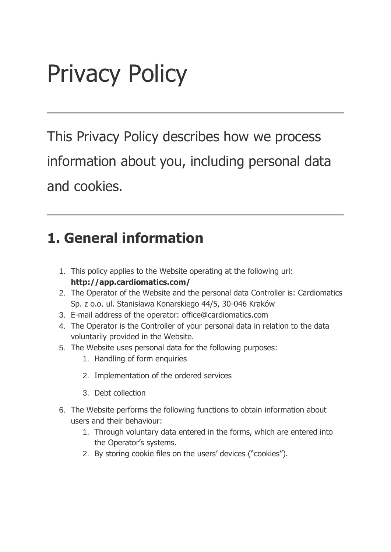# Privacy Policy

This Privacy Policy describes how we process information about you, including personal data and cookies.

#### **1. General information**

- 1. This policy applies to the Website operating at the following url: **http://app.cardiomatics.com/**
- 2. The Operator of the Website and the personal data Controller is: Cardiomatics Sp. z o.o. ul. Stanisława Konarskiego 44/5, 30-046 Kraków
- 3. E-mail address of the operator: office@cardiomatics.com
- 4. The Operator is the Controller of your personal data in relation to the data voluntarily provided in the Website.
- 5. The Website uses personal data for the following purposes:
	- 1. Handling of form enquiries
	- 2. Implementation of the ordered services
	- 3. Debt collection
- 6. The Website performs the following functions to obtain information about users and their behaviour:
	- 1. Through voluntary data entered in the forms, which are entered into the Operator's systems.
	- 2. By storing cookie files on the users' devices ("cookies").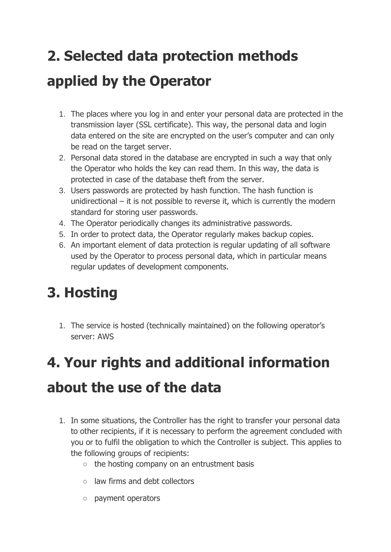## **2. Selected data protection methods applied by the Operator**

- 1. The places where you log in and enter your personal data are protected in the transmission layer (SSL certificate). This way, the personal data and login data entered on the site are encrypted on the user's computer and can only be read on the target server.
- 2. Personal data stored in the database are encrypted in such a way that only the Operator who holds the key can read them. In this way, the data is protected in case of the database theft from the server.
- 3. Users passwords are protected by hash function. The hash function is unidirectional – it is not possible to reverse it, which is currently the modern standard for storing user passwords.
- 4. The Operator periodically changes its administrative passwords.
- 5. In order to protect data, the Operator regularly makes backup copies.
- 6. An important element of data protection is regular updating of all software used by the Operator to process personal data, which in particular means regular updates of development components.

### **3. Hosting**

1. The service is hosted (technically maintained) on the following operator's server: AWS

### **4. Your rights and additional information about the use of the data**

- 1. In some situations, the Controller has the right to transfer your personal data to other recipients, if it is necessary to perform the agreement concluded with you or to fulfil the obligation to which the Controller is subject. This applies to the following groups of recipients:
	- the hosting company on an entrustment basis
	- law firms and debt collectors
	- payment operators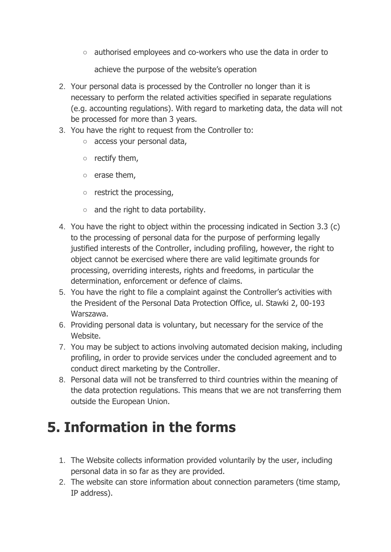○ authorised employees and co-workers who use the data in order to

achieve the purpose of the website's operation

- 2. Your personal data is processed by the Controller no longer than it is necessary to perform the related activities specified in separate regulations (e.g. accounting regulations). With regard to marketing data, the data will not be processed for more than 3 years.
- 3. You have the right to request from the Controller to:
	- access your personal data,
	- $\circ$  rectify them,
	- erase them,
	- restrict the processing,
	- $\circ$  and the right to data portability.
- 4. You have the right to object within the processing indicated in Section 3.3 (c) to the processing of personal data for the purpose of performing legally justified interests of the Controller, including profiling, however, the right to object cannot be exercised where there are valid legitimate grounds for processing, overriding interests, rights and freedoms, in particular the determination, enforcement or defence of claims.
- 5. You have the right to file a complaint against the Controller's activities with the President of the Personal Data Protection Office, ul. Stawki 2, 00-193 Warszawa.
- 6. Providing personal data is voluntary, but necessary for the service of the Website.
- 7. You may be subject to actions involving automated decision making, including profiling, in order to provide services under the concluded agreement and to conduct direct marketing by the Controller.
- 8. Personal data will not be transferred to third countries within the meaning of the data protection regulations. This means that we are not transferring them outside the European Union.

#### **5. Information in the forms**

- 1. The Website collects information provided voluntarily by the user, including personal data in so far as they are provided.
- 2. The website can store information about connection parameters (time stamp, IP address).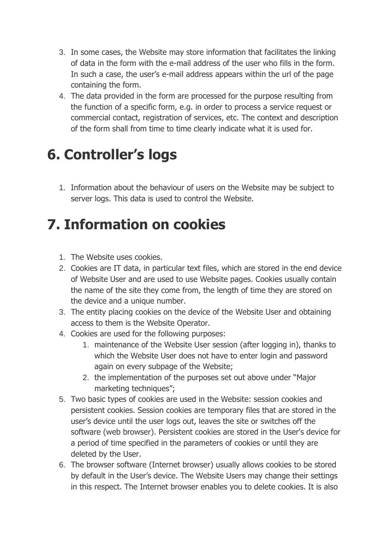- 3. In some cases, the Website may store information that facilitates the linking of data in the form with the e-mail address of the user who fills in the form. In such a case, the user's e-mail address appears within the url of the page containing the form.
- 4. The data provided in the form are processed for the purpose resulting from the function of a specific form, e.g. in order to process a service request or commercial contact, registration of services, etc. The context and description of the form shall from time to time clearly indicate what it is used for.

### **6. Controller's logs**

1. Information about the behaviour of users on the Website may be subject to server logs. This data is used to control the Website.

#### **7. Information on cookies**

- 1. The Website uses cookies.
- 2. Cookies are IT data, in particular text files, which are stored in the end device of Website User and are used to use Website pages. Cookies usually contain the name of the site they come from, the length of time they are stored on the device and a unique number.
- 3. The entity placing cookies on the device of the Website User and obtaining access to them is the Website Operator.
- 4. Cookies are used for the following purposes:
	- 1. maintenance of the Website User session (after logging in), thanks to which the Website User does not have to enter login and password again on every subpage of the Website;
	- 2. the implementation of the purposes set out above under "Major marketing techniques";
- 5. Two basic types of cookies are used in the Website: session cookies and persistent cookies. Session cookies are temporary files that are stored in the user's device until the user logs out, leaves the site or switches off the software (web browser). Persistent cookies are stored in the User's device for a period of time specified in the parameters of cookies or until they are deleted by the User.
- 6. The browser software (Internet browser) usually allows cookies to be stored by default in the User's device. The Website Users may change their settings in this respect. The Internet browser enables you to delete cookies. It is also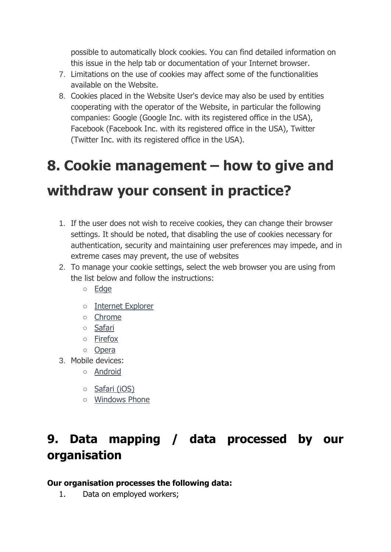possible to automatically block cookies. You can find detailed information on this issue in the help tab or documentation of your Internet browser.

- 7. Limitations on the use of cookies may affect some of the functionalities available on the Website.
- 8. Cookies placed in the Website User's device may also be used by entities cooperating with the operator of the Website, in particular the following companies: Google (Google Inc. with its registered office in the USA), Facebook (Facebook Inc. with its registered office in the USA), Twitter (Twitter Inc. with its registered office in the USA).

## **8. Cookie management – how to give and withdraw your consent in practice?**

#### 1. If the user does not wish to receive cookies, they can change their browser settings. It should be noted, that disabling the use of cookies necessary for authentication, security and maintaining user preferences may impede, and in

- extreme cases may prevent, the use of websites 2. To manage your cookie settings, select the web browser you are using from the list below and follow the instructions:
	- [Edge](https://support.microsoft.com/pl-pl/help/10607/microsoft-edge-view-delete-browser-history)
	- [Internet Explorer](https://support.microsoft.com/pl-pl/help/278835/how-to-delete-cookie-files-in-internet-explorer)
	- [Chrome](http://support.google.com/chrome/bin/answer.py?hl=pl&answer=95647)
	- [Safari](http://support.apple.com/kb/PH5042)
	- [Firefox](http://support.mozilla.org/pl/kb/Włączanie%20i%20wyłączanie%20obsługi%20ciasteczek)
	- [Opera](http://help.opera.com/Windows/12.10/pl/cookies.html)
- 3. Mobile devices:
	- [Android](http://support.google.com/chrome/bin/answer.py?hl=pl&answer=95647)
	- [Safari \(iOS\)](http://support.apple.com/kb/HT1677?viewlocale=pl_PL)
	- [Windows Phone](http://www.windowsphone.com/pl-pl/how-to/wp7/web/changing-privacy-and-other-browser-settings)

#### **9. Data mapping / data processed by our organisation**

#### **Our organisation processes the following data:**

1. Data on employed workers;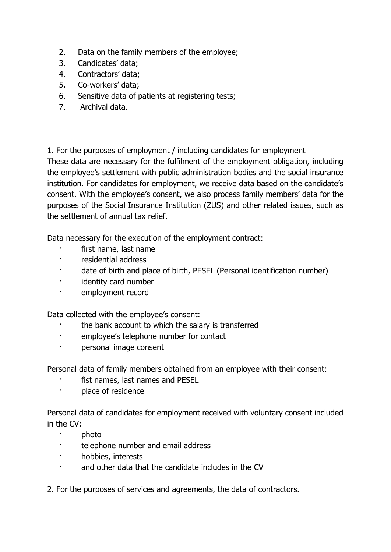- 2. Data on the family members of the employee;
- 3. Candidates' data;
- 4. Contractors' data;
- 5. Co-workers' data;
- 6. Sensitive data of patients at registering tests;
- 7. Archival data.

1. For the purposes of employment / including candidates for employment

These data are necessary for the fulfilment of the employment obligation, including the employee's settlement with public administration bodies and the social insurance institution. For candidates for employment, we receive data based on the candidate's consent. With the employee's consent, we also process family members' data for the purposes of the Social Insurance Institution (ZUS) and other related issues, such as the settlement of annual tax relief.

Data necessary for the execution of the employment contract:

- · first name, last name
- · residential address
- · date of birth and place of birth, PESEL (Personal identification number)
- · identity card number
- · employment record

Data collected with the employee's consent:

- the bank account to which the salary is transferred
- · employee's telephone number for contact
- personal image consent

Personal data of family members obtained from an employee with their consent:

- fist names, last names and PESEL
- · place of residence

Personal data of candidates for employment received with voluntary consent included in the CV:

- · photo
- · telephone number and email address
- hobbies, interests
- and other data that the candidate includes in the CV
- 2. For the purposes of services and agreements, the data of contractors.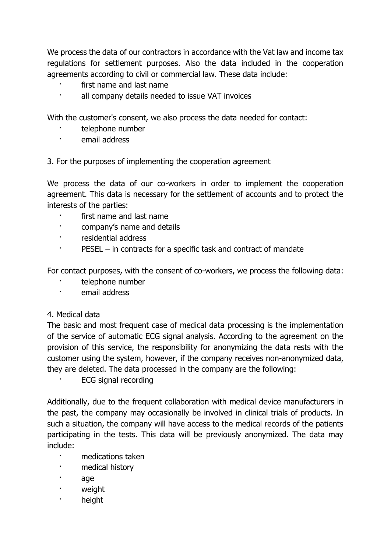We process the data of our contractors in accordance with the Vat law and income tax regulations for settlement purposes. Also the data included in the cooperation agreements according to civil or commercial law. These data include:

- first name and last name
- all company details needed to issue VAT invoices

With the customer's consent, we also process the data needed for contact:

- telephone number
- · email address

3. For the purposes of implementing the cooperation agreement

We process the data of our co-workers in order to implement the cooperation agreement. This data is necessary for the settlement of accounts and to protect the interests of the parties:

- first name and last name
- · company's name and details
- · residential address
- · PESEL in contracts for a specific task and contract of mandate

For contact purposes, with the consent of co-workers, we process the following data:

- telephone number
- · email address

#### 4. Medical data

The basic and most frequent case of medical data processing is the implementation of the service of automatic ECG signal analysis. According to the agreement on the provision of this service, the responsibility for anonymizing the data rests with the customer using the system, however, if the company receives non-anonymized data, they are deleted. The data processed in the company are the following:

ECG signal recording

Additionally, due to the frequent collaboration with medical device manufacturers in the past, the company may occasionally be involved in clinical trials of products. In such a situation, the company will have access to the medical records of the patients participating in the tests. This data will be previously anonymized. The data may include:

- · medications taken
- medical history
- · age
- · weight
- · height